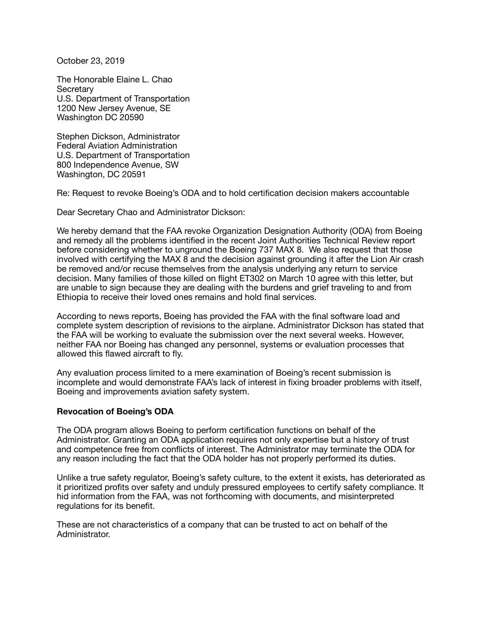October 23, 2019

The Honorable Elaine L. Chao **Secretary** U.S. Department of Transportation 1200 New Jersey Avenue, SE Washington DC 20590

Stephen Dickson, Administrator Federal Aviation Administration U.S. Department of Transportation 800 Independence Avenue, SW Washington, DC 20591

Re: Request to revoke Boeing's ODA and to hold certification decision makers accountable

Dear Secretary Chao and Administrator Dickson:

We hereby demand that the FAA revoke Organization Designation Authority (ODA) from Boeing and remedy all the problems identified in the recent Joint Authorities Technical Review report before considering whether to unground the Boeing 737 MAX 8. We also request that those involved with certifying the MAX 8 and the decision against grounding it after the Lion Air crash be removed and/or recuse themselves from the analysis underlying any return to service decision. Many families of those killed on flight ET302 on March 10 agree with this letter, but are unable to sign because they are dealing with the burdens and grief traveling to and from Ethiopia to receive their loved ones remains and hold final services.

According to news reports, Boeing has provided the FAA with the final software load and complete system description of revisions to the airplane. Administrator Dickson has stated that the FAA will be working to evaluate the submission over the next several weeks. However, neither FAA nor Boeing has changed any personnel, systems or evaluation processes that allowed this flawed aircraft to fly.

Any evaluation process limited to a mere examination of Boeing's recent submission is incomplete and would demonstrate FAA's lack of interest in fixing broader problems with itself, Boeing and improvements aviation safety system.

## **Revocation of Boeing's ODA**

The ODA program allows Boeing to perform certification functions on behalf of the Administrator. Granting an ODA application requires not only expertise but a history of trust and competence free from conflicts of interest. The Administrator may terminate the ODA for any reason including the fact that the ODA holder has not properly performed its duties.

Unlike a true safety regulator, Boeing's safety culture, to the extent it exists, has deteriorated as it prioritized profits over safety and unduly pressured employees to certify safety compliance. It hid information from the FAA, was not forthcoming with documents, and misinterpreted regulations for its benefit.

These are not characteristics of a company that can be trusted to act on behalf of the Administrator.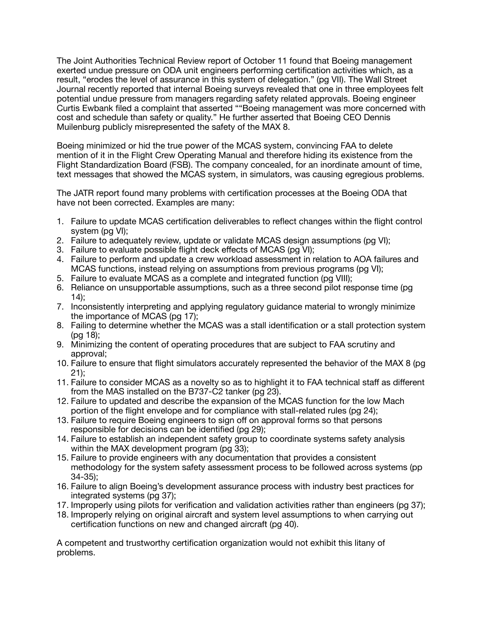The Joint Authorities Technical Review report of October 11 found that Boeing management exerted undue pressure on ODA unit engineers performing certification activities which, as a result, "erodes the level of assurance in this system of delegation." (pg VII). The Wall Street Journal recently reported that internal Boeing surveys revealed that one in three employees felt potential undue pressure from managers regarding safety related approvals. Boeing engineer Curtis Ewbank filed a complaint that asserted ""Boeing management was more concerned with cost and schedule than safety or quality." He further asserted that Boeing CEO Dennis Muilenburg publicly misrepresented the safety of the MAX 8.

Boeing minimized or hid the true power of the MCAS system, convincing FAA to delete mention of it in the Flight Crew Operating Manual and therefore hiding its existence from the Flight Standardization Board (FSB). The company concealed, for an inordinate amount of time, text messages that showed the MCAS system, in simulators, was causing egregious problems.

The JATR report found many problems with certification processes at the Boeing ODA that have not been corrected. Examples are many:

- 1. Failure to update MCAS certification deliverables to reflect changes within the flight control system (pg VI);
- 2. Failure to adequately review, update or validate MCAS design assumptions (pg VI);
- 3. Failure to evaluate possible flight deck effects of MCAS (pg VI);
- 4. Failure to perform and update a crew workload assessment in relation to AOA failures and MCAS functions, instead relying on assumptions from previous programs (pg VI);
- 5. Failure to evaluate MCAS as a complete and integrated function (pg VIII);
- 6. Reliance on unsupportable assumptions, such as a three second pilot response time (pg 14);
- 7. Inconsistently interpreting and applying regulatory guidance material to wrongly minimize the importance of MCAS (pg 17);
- 8. Failing to determine whether the MCAS was a stall identification or a stall protection system (pg 18);
- 9. Minimizing the content of operating procedures that are subject to FAA scrutiny and approval;
- 10. Failure to ensure that flight simulators accurately represented the behavior of the MAX 8 (pg 21);
- 11. Failure to consider MCAS as a novelty so as to highlight it to FAA technical staff as different from the MAS installed on the B737-C2 tanker (pg 23).
- 12. Failure to updated and describe the expansion of the MCAS function for the low Mach portion of the flight envelope and for compliance with stall-related rules (pg 24);
- 13. Failure to require Boeing engineers to sign off on approval forms so that persons responsible for decisions can be identified (pg 29);
- 14. Failure to establish an independent safety group to coordinate systems safety analysis within the MAX development program (pg 33);
- 15. Failure to provide engineers with any documentation that provides a consistent methodology for the system safety assessment process to be followed across systems (pp 34-35);
- 16. Failure to align Boeing's development assurance process with industry best practices for integrated systems (pg 37);
- 17. Improperly using pilots for verification and validation activities rather than engineers (pg 37);
- 18. Improperly relying on original aircraft and system level assumptions to when carrying out certification functions on new and changed aircraft (pg 40).

A competent and trustworthy certification organization would not exhibit this litany of problems.